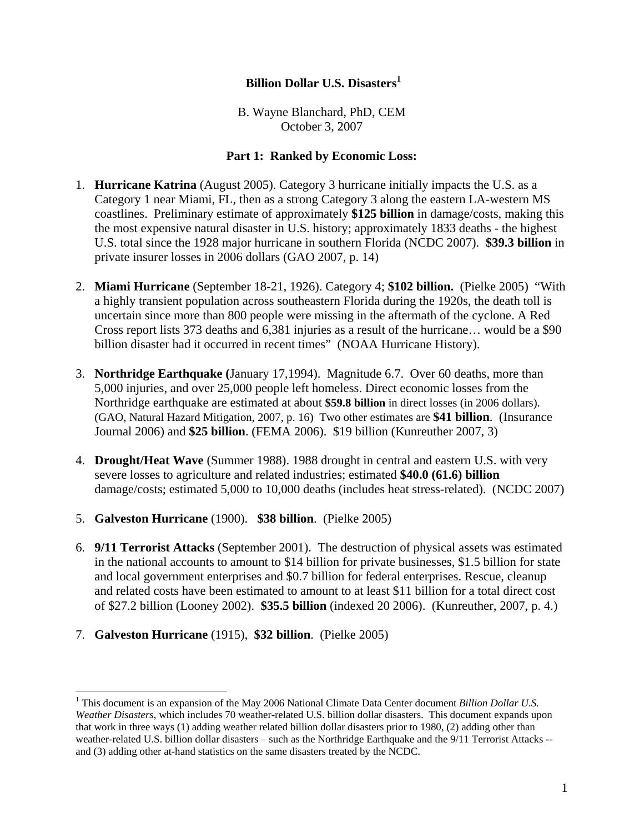## **Billion Dollar U.S. Disasters**<sup>1</sup>

B. Wayne Blanchard, PhD, CEM October 3, 2007

## **Part 1: Ranked by Economic Loss:**

- 1. **Hurricane Katrina** (August 2005). Category 3 hurricane initially impacts the U.S. as a Category 1 near Miami, FL, then as a strong Category 3 along the eastern LA-western MS coastlines. Preliminary estimate of approximately **\$125 billion** in damage/costs, making this the most expensive natural disaster in U.S. history; approximately 1833 deaths - the highest U.S. total since the 1928 major hurricane in southern Florida (NCDC 2007). **\$39.3 billion** in private insurer losses in 2006 dollars (GAO 2007, p. 14)
- 2. **Miami Hurricane** (September 18-21, 1926). Category 4; **\$102 billion.** (Pielke 2005) "With a highly transient population across southeastern Florida during the 1920s, the death toll is uncertain since more than 800 people were missing in the aftermath of the cyclone. A Red Cross report lists 373 deaths and 6,381 injuries as a result of the hurricane… would be a \$90 billion disaster had it occurred in recent times" (NOAA Hurricane History).
- 3. **Northridge Earthquake (**January 17,1994). Magnitude 6.7. Over 60 deaths, more than 5,000 injuries, and over 25,000 people left homeless. Direct economic losses from the Northridge earthquake are estimated at about **\$59.8 billion** in direct losses (in 2006 dollars). (GAO, Natural Hazard Mitigation, 2007, p. 16) Two other estimates are **\$41 billion**. (Insurance Journal 2006) and **\$25 billion**. (FEMA 2006). \$19 billion (Kunreuther 2007, 3)
- 4. **Drought/Heat Wave** (Summer 1988). 1988 drought in central and eastern U.S. with very severe losses to agriculture and related industries; estimated **\$40.0 (61.6) billion** damage/costs; estimated 5,000 to 10,000 deaths (includes heat stress-related). (NCDC 2007)
- 5. **Galveston Hurricane** (1900). **\$38 billion**. (Pielke 2005)
- 6. **9/11 Terrorist Attacks** (September 2001). The destruction of physical assets was estimated in the national accounts to amount to \$14 billion for private businesses, \$1.5 billion for state and local government enterprises and \$0.7 billion for federal enterprises. Rescue, cleanup and related costs have been estimated to amount to at least \$11 billion for a total direct cost of \$27.2 billion (Looney 2002). **\$35.5 billion** (indexed 20 2006). (Kunreuther, 2007, p. 4.)
- 7. **Galveston Hurricane** (1915), **\$32 billion**. (Pielke 2005)

 $\overline{a}$ 

<sup>&</sup>lt;sup>1</sup> This document is an expansion of the May 2006 National Climate Data Center document *Billion Dollar U.S. Weather Disasters*, which includes 70 weather-related U.S. billion dollar disasters. This document expands upon that work in three ways (1) adding weather related billion dollar disasters prior to 1980, (2) adding other than weather-related U.S. billion dollar disasters – such as the Northridge Earthquake and the 9/11 Terrorist Attacks -and (3) adding other at-hand statistics on the same disasters treated by the NCDC.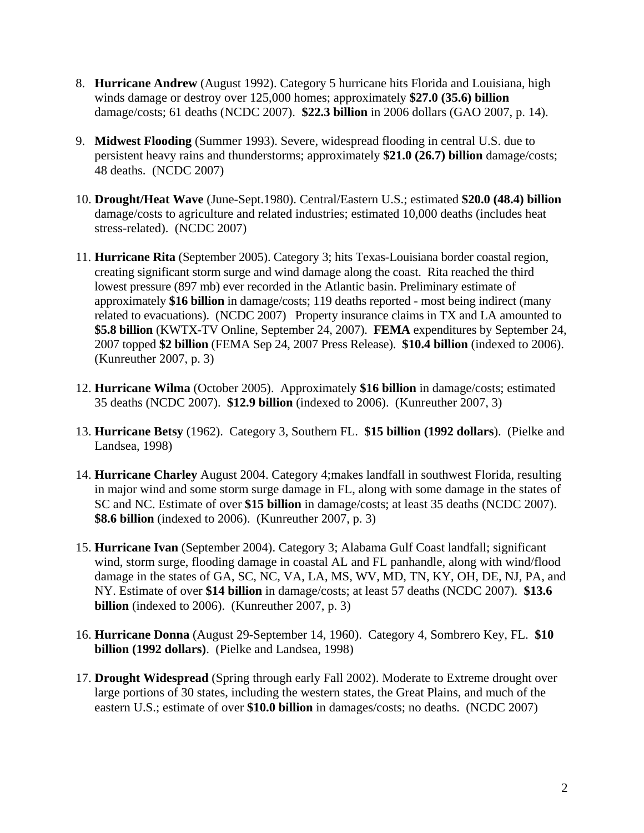- 8. **Hurricane Andrew** (August 1992). Category 5 hurricane hits Florida and Louisiana, high winds damage or destroy over 125,000 homes; approximately **\$27.0 (35.6) billion** damage/costs; 61 deaths (NCDC 2007). **\$22.3 billion** in 2006 dollars (GAO 2007, p. 14).
- 9. **Midwest Flooding** (Summer 1993). Severe, widespread flooding in central U.S. due to persistent heavy rains and thunderstorms; approximately **\$21.0 (26.7) billion** damage/costs; 48 deaths. (NCDC 2007)
- 10. **Drought/Heat Wave** (June-Sept.1980). Central/Eastern U.S.; estimated **\$20.0 (48.4) billion** damage/costs to agriculture and related industries; estimated 10,000 deaths (includes heat stress-related). (NCDC 2007)
- 11. **Hurricane Rita** (September 2005). Category 3; hits Texas-Louisiana border coastal region, creating significant storm surge and wind damage along the coast. Rita reached the third lowest pressure (897 mb) ever recorded in the Atlantic basin. Preliminary estimate of approximately **\$16 billion** in damage/costs; 119 deaths reported - most being indirect (many related to evacuations). (NCDC 2007) Property insurance claims in TX and LA amounted to **\$5.8 billion** (KWTX-TV Online, September 24, 2007). **FEMA** expenditures by September 24, 2007 topped **\$2 billion** (FEMA Sep 24, 2007 Press Release). **\$10.4 billion** (indexed to 2006). (Kunreuther 2007, p. 3)
- 12. **Hurricane Wilma** (October 2005). Approximately **\$16 billion** in damage/costs; estimated 35 deaths (NCDC 2007). **\$12.9 billion** (indexed to 2006). (Kunreuther 2007, 3)
- 13. **Hurricane Betsy** (1962). Category 3, Southern FL. **\$15 billion (1992 dollars**). (Pielke and Landsea, 1998)
- 14. **Hurricane Charley** August 2004. Category 4;makes landfall in southwest Florida, resulting in major wind and some storm surge damage in FL, along with some damage in the states of SC and NC. Estimate of over **\$15 billion** in damage/costs; at least 35 deaths (NCDC 2007). **\$8.6 billion** (indexed to 2006). (Kunreuther 2007, p. 3)
- 15. **Hurricane Ivan** (September 2004). Category 3; Alabama Gulf Coast landfall; significant wind, storm surge, flooding damage in coastal AL and FL panhandle, along with wind/flood damage in the states of GA, SC, NC, VA, LA, MS, WV, MD, TN, KY, OH, DE, NJ, PA, and NY. Estimate of over **\$14 billion** in damage/costs; at least 57 deaths (NCDC 2007). **\$13.6 billion** (indexed to 2006). (Kunreuther 2007, p. 3)
- 16. **Hurricane Donna** (August 29-September 14, 1960). Category 4, Sombrero Key, FL. **\$10 billion (1992 dollars)**. (Pielke and Landsea, 1998)
- 17. **Drought Widespread** (Spring through early Fall 2002). Moderate to Extreme drought over large portions of 30 states, including the western states, the Great Plains, and much of the eastern U.S.; estimate of over **\$10.0 billion** in damages/costs; no deaths. (NCDC 2007)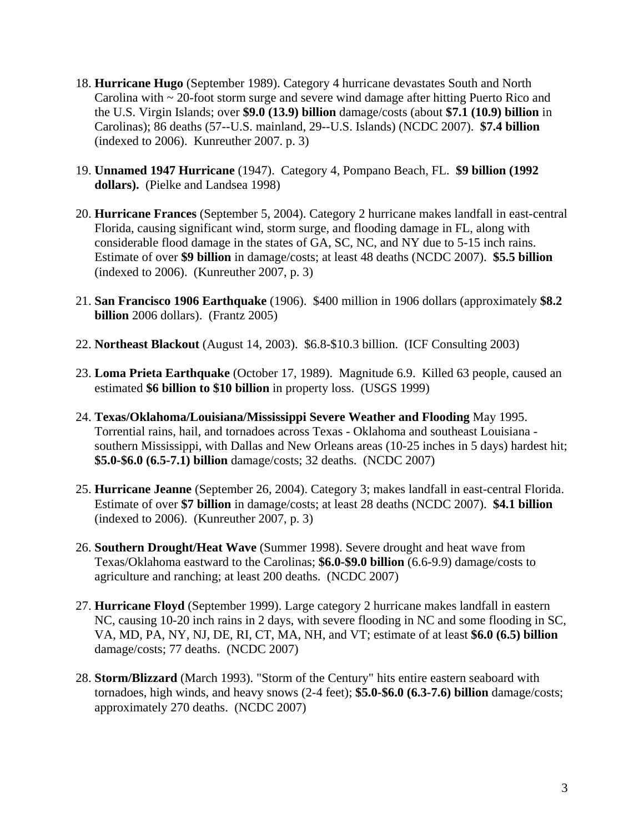- 18. **Hurricane Hugo** (September 1989). Category 4 hurricane devastates South and North Carolina with ~ 20-foot storm surge and severe wind damage after hitting Puerto Rico and the U.S. Virgin Islands; over **\$9.0 (13.9) billion** damage/costs (about **\$7.1 (10.9) billion** in Carolinas); 86 deaths (57--U.S. mainland, 29--U.S. Islands) (NCDC 2007). **\$7.4 billion** (indexed to 2006). Kunreuther 2007. p. 3)
- 19. **Unnamed 1947 Hurricane** (1947). Category 4, Pompano Beach, FL. **\$9 billion (1992 dollars).** (Pielke and Landsea 1998)
- 20. **Hurricane Frances** (September 5, 2004). Category 2 hurricane makes landfall in east-central Florida, causing significant wind, storm surge, and flooding damage in FL, along with considerable flood damage in the states of GA, SC, NC, and NY due to 5-15 inch rains. Estimate of over **\$9 billion** in damage/costs; at least 48 deaths (NCDC 2007). **\$5.5 billion** (indexed to 2006). (Kunreuther 2007, p. 3)
- 21. **San Francisco 1906 Earthquake** (1906). \$400 million in 1906 dollars (approximately **\$8.2 billion** 2006 dollars). (Frantz 2005)
- 22. **Northeast Blackout** (August 14, 2003). \$6.8-\$10.3 billion. (ICF Consulting 2003)
- 23. **Loma Prieta Earthquake** (October 17, 1989). Magnitude 6.9. Killed 63 people, caused an estimated **\$6 billion to \$10 billion** in property loss. (USGS 1999)
- 24. **Texas/Oklahoma/Louisiana/Mississippi Severe Weather and Flooding** May 1995. Torrential rains, hail, and tornadoes across Texas - Oklahoma and southeast Louisiana southern Mississippi, with Dallas and New Orleans areas (10-25 inches in 5 days) hardest hit; **\$5.0-\$6.0 (6.5-7.1) billion** damage/costs; 32 deaths. (NCDC 2007)
- 25. **Hurricane Jeanne** (September 26, 2004). Category 3; makes landfall in east-central Florida. Estimate of over **\$7 billion** in damage/costs; at least 28 deaths (NCDC 2007). **\$4.1 billion** (indexed to 2006). (Kunreuther 2007, p. 3)
- 26. **Southern Drought/Heat Wave** (Summer 1998). Severe drought and heat wave from Texas/Oklahoma eastward to the Carolinas; **\$6.0-\$9.0 billion** (6.6-9.9) damage/costs to agriculture and ranching; at least 200 deaths. (NCDC 2007)
- 27. **Hurricane Floyd** (September 1999). Large category 2 hurricane makes landfall in eastern NC, causing 10-20 inch rains in 2 days, with severe flooding in NC and some flooding in SC, VA, MD, PA, NY, NJ, DE, RI, CT, MA, NH, and VT; estimate of at least **\$6.0 (6.5) billion** damage/costs; 77 deaths. (NCDC 2007)
- 28. **Storm/Blizzard** (March 1993). "Storm of the Century" hits entire eastern seaboard with tornadoes, high winds, and heavy snows (2-4 feet); **\$5.0-\$6.0 (6.3-7.6) billion** damage/costs; approximately 270 deaths. (NCDC 2007)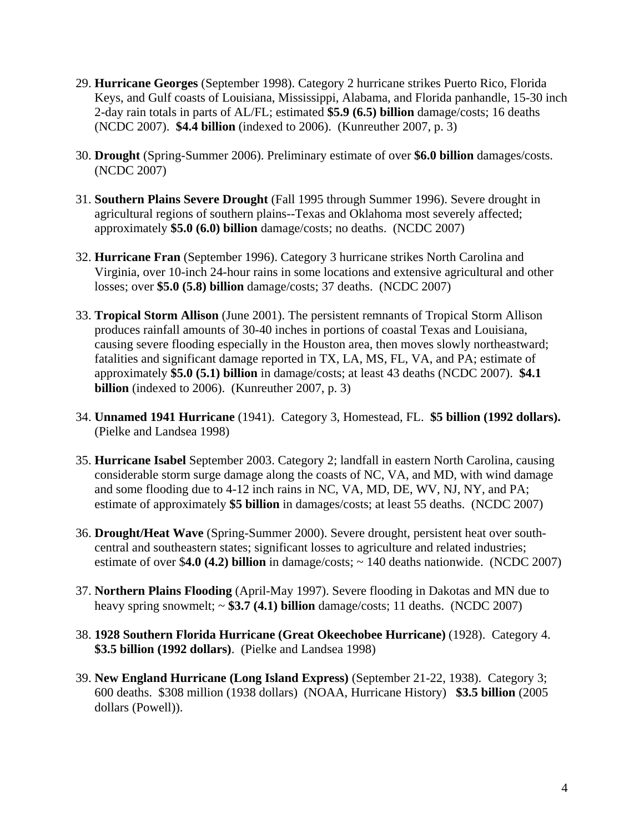- 29. **Hurricane Georges** (September 1998). Category 2 hurricane strikes Puerto Rico, Florida Keys, and Gulf coasts of Louisiana, Mississippi, Alabama, and Florida panhandle, 15-30 inch 2-day rain totals in parts of AL/FL; estimated **\$5.9 (6.5) billion** damage/costs; 16 deaths (NCDC 2007). **\$4.4 billion** (indexed to 2006). (Kunreuther 2007, p. 3)
- 30. **Drought** (Spring-Summer 2006). Preliminary estimate of over **\$6.0 billion** damages/costs. (NCDC 2007)
- 31. **Southern Plains Severe Drought** (Fall 1995 through Summer 1996). Severe drought in agricultural regions of southern plains--Texas and Oklahoma most severely affected; approximately **\$5.0 (6.0) billion** damage/costs; no deaths. (NCDC 2007)
- 32. **Hurricane Fran** (September 1996). Category 3 hurricane strikes North Carolina and Virginia, over 10-inch 24-hour rains in some locations and extensive agricultural and other losses; over **\$5.0 (5.8) billion** damage/costs; 37 deaths. (NCDC 2007)
- 33. **Tropical Storm Allison** (June 2001). The persistent remnants of Tropical Storm Allison produces rainfall amounts of 30-40 inches in portions of coastal Texas and Louisiana, causing severe flooding especially in the Houston area, then moves slowly northeastward; fatalities and significant damage reported in TX, LA, MS, FL, VA, and PA; estimate of approximately **\$5.0 (5.1) billion** in damage/costs; at least 43 deaths (NCDC 2007). **\$4.1 billion** (indexed to 2006). (Kunreuther 2007, p. 3)
- 34. **Unnamed 1941 Hurricane** (1941). Category 3, Homestead, FL. **\$5 billion (1992 dollars).** (Pielke and Landsea 1998)
- 35. **Hurricane Isabel** September 2003. Category 2; landfall in eastern North Carolina, causing considerable storm surge damage along the coasts of NC, VA, and MD, with wind damage and some flooding due to 4-12 inch rains in NC, VA, MD, DE, WV, NJ, NY, and PA; estimate of approximately **\$5 billion** in damages/costs; at least 55 deaths. (NCDC 2007)
- 36. **Drought/Heat Wave** (Spring-Summer 2000). Severe drought, persistent heat over southcentral and southeastern states; significant losses to agriculture and related industries; estimate of over \$**4.0 (4.2) billion** in damage/costs; ~ 140 deaths nationwide. (NCDC 2007)
- 37. **Northern Plains Flooding** (April-May 1997). Severe flooding in Dakotas and MN due to heavy spring snowmelt; ~ **\$3.7 (4.1) billion** damage/costs; 11 deaths. (NCDC 2007)
- 38. **1928 Southern Florida Hurricane (Great Okeechobee Hurricane)** (1928). Category 4. **\$3.5 billion (1992 dollars)**. (Pielke and Landsea 1998)
- 39. **New England Hurricane (Long Island Express)** (September 21-22, 1938). Category 3; 600 deaths. \$308 million (1938 dollars) (NOAA, Hurricane History) **\$3.5 billion** (2005 dollars (Powell)).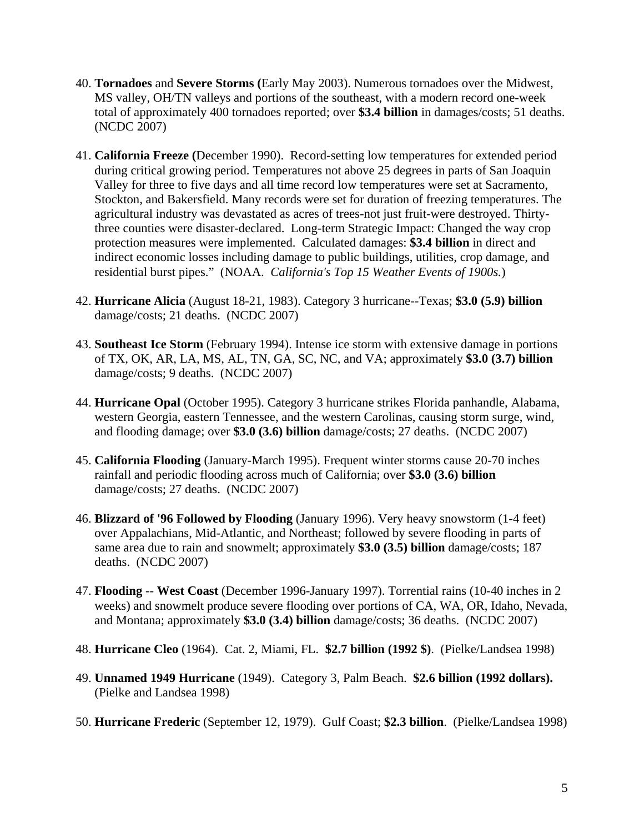- 40. **Tornadoes** and **Severe Storms (**Early May 2003). Numerous tornadoes over the Midwest, MS valley, OH/TN valleys and portions of the southeast, with a modern record one-week total of approximately 400 tornadoes reported; over **\$3.4 billion** in damages/costs; 51 deaths. (NCDC 2007)
- 41. **California Freeze (**December 1990). Record-setting low temperatures for extended period during critical growing period. Temperatures not above 25 degrees in parts of San Joaquin Valley for three to five days and all time record low temperatures were set at Sacramento, Stockton, and Bakersfield. Many records were set for duration of freezing temperatures. The agricultural industry was devastated as acres of trees-not just fruit-were destroyed. Thirtythree counties were disaster-declared. Long-term Strategic Impact: Changed the way crop protection measures were implemented. Calculated damages: **\$3.4 billion** in direct and indirect economic losses including damage to public buildings, utilities, crop damage, and residential burst pipes." (NOAA. *California's Top 15 Weather Events of 1900s.*)
- 42. **Hurricane Alicia** (August 18-21, 1983). Category 3 hurricane--Texas; **\$3.0 (5.9) billion**  damage/costs; 21 deaths. (NCDC 2007)
- 43. **Southeast Ice Storm** (February 1994). Intense ice storm with extensive damage in portions of TX, OK, AR, LA, MS, AL, TN, GA, SC, NC, and VA; approximately **\$3.0 (3.7) billion** damage/costs; 9 deaths. (NCDC 2007)
- 44. **Hurricane Opal** (October 1995). Category 3 hurricane strikes Florida panhandle, Alabama, western Georgia, eastern Tennessee, and the western Carolinas, causing storm surge, wind, and flooding damage; over **\$3.0 (3.6) billion** damage/costs; 27 deaths. (NCDC 2007)
- 45. **California Flooding** (January-March 1995). Frequent winter storms cause 20-70 inches rainfall and periodic flooding across much of California; over **\$3.0 (3.6) billion** damage/costs; 27 deaths. (NCDC 2007)
- 46. **Blizzard of '96 Followed by Flooding** (January 1996). Very heavy snowstorm (1-4 feet) over Appalachians, Mid-Atlantic, and Northeast; followed by severe flooding in parts of same area due to rain and snowmelt; approximately **\$3.0 (3.5) billion** damage/costs; 187 deaths. (NCDC 2007)
- 47. **Flooding** -- **West Coast** (December 1996-January 1997). Torrential rains (10-40 inches in 2 weeks) and snowmelt produce severe flooding over portions of CA, WA, OR, Idaho, Nevada, and Montana; approximately **\$3.0 (3.4) billion** damage/costs; 36 deaths. (NCDC 2007)
- 48. **Hurricane Cleo** (1964). Cat. 2, Miami, FL. **\$2.7 billion (1992 \$)**. (Pielke/Landsea 1998)
- 49. **Unnamed 1949 Hurricane** (1949). Category 3, Palm Beach. **\$2.6 billion (1992 dollars).** (Pielke and Landsea 1998)
- 50. **Hurricane Frederic** (September 12, 1979). Gulf Coast; **\$2.3 billion**. (Pielke/Landsea 1998)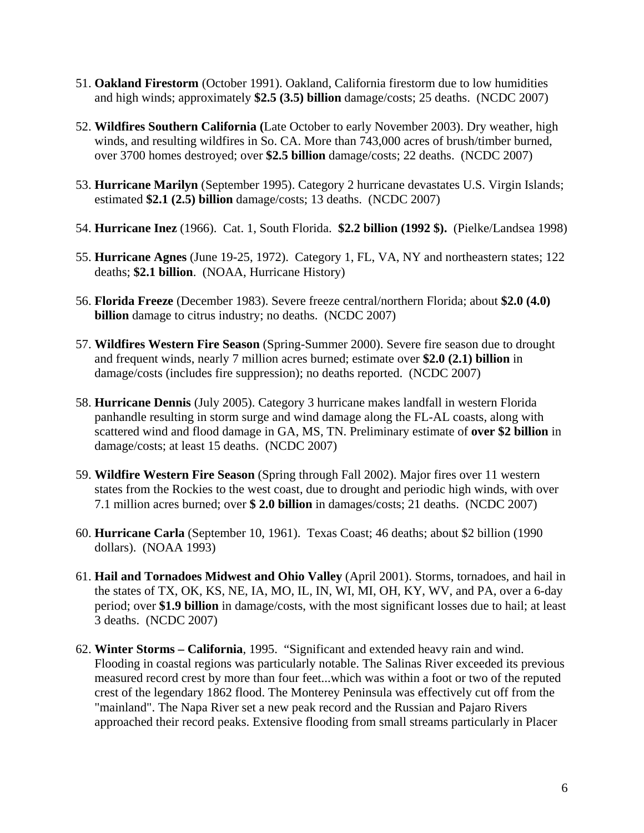- 51. **Oakland Firestorm** (October 1991). Oakland, California firestorm due to low humidities and high winds; approximately **\$2.5 (3.5) billion** damage/costs; 25 deaths. (NCDC 2007)
- 52. **Wildfires Southern California (**Late October to early November 2003). Dry weather, high winds, and resulting wildfires in So. CA. More than 743,000 acres of brush/timber burned, over 3700 homes destroyed; over **\$2.5 billion** damage/costs; 22 deaths. (NCDC 2007)
- 53. **Hurricane Marilyn** (September 1995). Category 2 hurricane devastates U.S. Virgin Islands; estimated **\$2.1 (2.5) billion** damage/costs; 13 deaths. (NCDC 2007)
- 54. **Hurricane Inez** (1966). Cat. 1, South Florida. **\$2.2 billion (1992 \$).** (Pielke/Landsea 1998)
- 55. **Hurricane Agnes** (June 19-25, 1972). Category 1, FL, VA, NY and northeastern states; 122 deaths; **\$2.1 billion**. (NOAA, Hurricane History)
- 56. **Florida Freeze** (December 1983). Severe freeze central/northern Florida; about **\$2.0 (4.0) billion** damage to citrus industry; no deaths. (NCDC 2007)
- 57. **Wildfires Western Fire Season** (Spring-Summer 2000). Severe fire season due to drought and frequent winds, nearly 7 million acres burned; estimate over **\$2.0 (2.1) billion** in damage/costs (includes fire suppression); no deaths reported. (NCDC 2007)
- 58. **Hurricane Dennis** (July 2005). Category 3 hurricane makes landfall in western Florida panhandle resulting in storm surge and wind damage along the FL-AL coasts, along with scattered wind and flood damage in GA, MS, TN. Preliminary estimate of **over \$2 billion** in damage/costs; at least 15 deaths. (NCDC 2007)
- 59. **Wildfire Western Fire Season** (Spring through Fall 2002). Major fires over 11 western states from the Rockies to the west coast, due to drought and periodic high winds, with over 7.1 million acres burned; over **\$ 2.0 billion** in damages/costs; 21 deaths. (NCDC 2007)
- 60. **Hurricane Carla** (September 10, 1961). Texas Coast; 46 deaths; about \$2 billion (1990 dollars). (NOAA 1993)
- 61. **Hail and Tornadoes Midwest and Ohio Valley** (April 2001). Storms, tornadoes, and hail in the states of TX, OK, KS, NE, IA, MO, IL, IN, WI, MI, OH, KY, WV, and PA, over a 6-day period; over **\$1.9 billion** in damage/costs, with the most significant losses due to hail; at least 3 deaths. (NCDC 2007)
- 62. **Winter Storms California**, 1995. "Significant and extended heavy rain and wind. Flooding in coastal regions was particularly notable. The Salinas River exceeded its previous measured record crest by more than four feet...which was within a foot or two of the reputed crest of the legendary 1862 flood. The Monterey Peninsula was effectively cut off from the "mainland". The Napa River set a new peak record and the Russian and Pajaro Rivers approached their record peaks. Extensive flooding from small streams particularly in Placer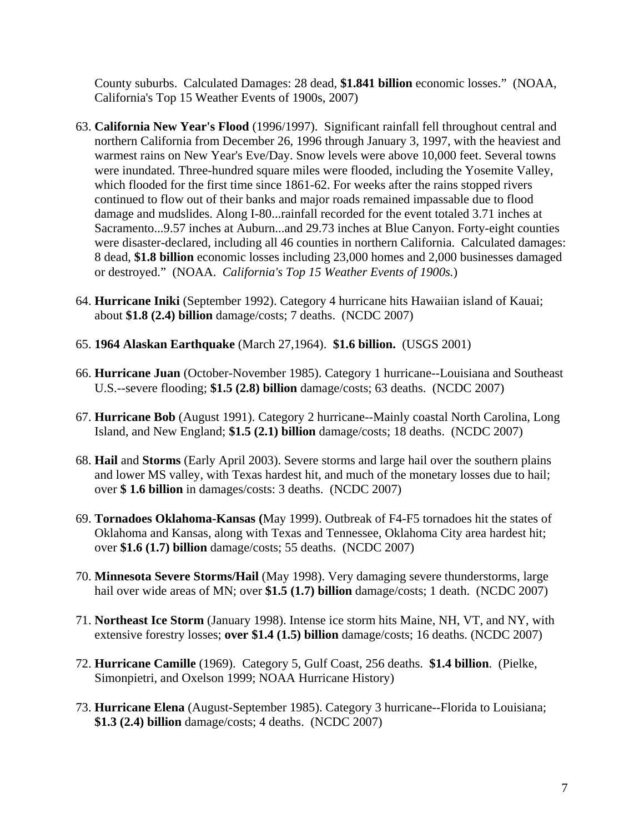County suburbs. Calculated Damages: 28 dead, **\$1.841 billion** economic losses." (NOAA, California's Top 15 Weather Events of 1900s, 2007)

- 63. **California New Year's Flood** (1996/1997). Significant rainfall fell throughout central and northern California from December 26, 1996 through January 3, 1997, with the heaviest and warmest rains on New Year's Eve/Day. Snow levels were above 10,000 feet. Several towns were inundated. Three-hundred square miles were flooded, including the Yosemite Valley, which flooded for the first time since 1861-62. For weeks after the rains stopped rivers continued to flow out of their banks and major roads remained impassable due to flood damage and mudslides. Along I-80...rainfall recorded for the event totaled 3.71 inches at Sacramento...9.57 inches at Auburn...and 29.73 inches at Blue Canyon. Forty-eight counties were disaster-declared, including all 46 counties in northern California. Calculated damages: 8 dead, **\$1.8 billion** economic losses including 23,000 homes and 2,000 businesses damaged or destroyed." (NOAA. *California's Top 15 Weather Events of 1900s.*)
- 64. **Hurricane Iniki** (September 1992). Category 4 hurricane hits Hawaiian island of Kauai; about **\$1.8 (2.4) billion** damage/costs; 7 deaths. (NCDC 2007)
- 65. **1964 Alaskan Earthquake** (March 27,1964). **\$1.6 billion.** (USGS 2001)
- 66. **Hurricane Juan** (October-November 1985). Category 1 hurricane--Louisiana and Southeast U.S.--severe flooding; **\$1.5 (2.8) billion** damage/costs; 63 deaths. (NCDC 2007)
- 67. **Hurricane Bob** (August 1991). Category 2 hurricane--Mainly coastal North Carolina, Long Island, and New England; **\$1.5 (2.1) billion** damage/costs; 18 deaths. (NCDC 2007)
- 68. **Hail** and **Storms** (Early April 2003). Severe storms and large hail over the southern plains and lower MS valley, with Texas hardest hit, and much of the monetary losses due to hail; over **\$ 1.6 billion** in damages/costs: 3 deaths. (NCDC 2007)
- 69. **Tornadoes Oklahoma-Kansas (**May 1999). Outbreak of F4-F5 tornadoes hit the states of Oklahoma and Kansas, along with Texas and Tennessee, Oklahoma City area hardest hit; over **\$1.6 (1.7) billion** damage/costs; 55 deaths. (NCDC 2007)
- 70. **Minnesota Severe Storms/Hail** (May 1998). Very damaging severe thunderstorms, large hail over wide areas of MN; over \$1.5 (1.7) **billion** damage/costs; 1 death. (NCDC 2007)
- 71. **Northeast Ice Storm** (January 1998). Intense ice storm hits Maine, NH, VT, and NY, with extensive forestry losses; **over \$1.4 (1.5) billion** damage/costs; 16 deaths. (NCDC 2007)
- 72. **Hurricane Camille** (1969). Category 5, Gulf Coast, 256 deaths. **\$1.4 billion**. (Pielke, Simonpietri, and Oxelson 1999; NOAA Hurricane History)
- 73. **Hurricane Elena** (August-September 1985). Category 3 hurricane--Florida to Louisiana; **\$1.3 (2.4) billion** damage/costs; 4 deaths. (NCDC 2007)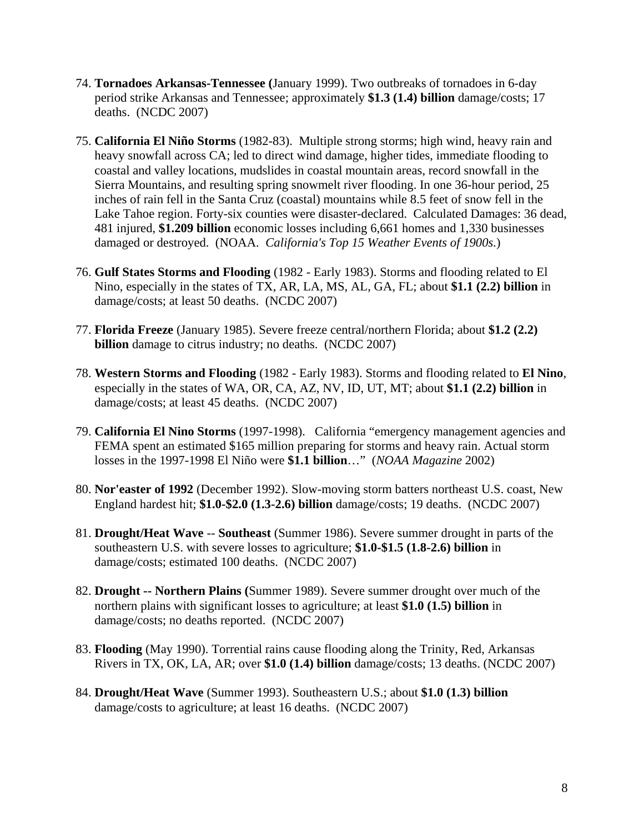- 74. **Tornadoes Arkansas-Tennessee (**January 1999). Two outbreaks of tornadoes in 6-day period strike Arkansas and Tennessee; approximately **\$1.3 (1.4) billion** damage/costs; 17 deaths. (NCDC 2007)
- 75. **California El Niño Storms** (1982-83). Multiple strong storms; high wind, heavy rain and heavy snowfall across CA; led to direct wind damage, higher tides, immediate flooding to coastal and valley locations, mudslides in coastal mountain areas, record snowfall in the Sierra Mountains, and resulting spring snowmelt river flooding. In one 36-hour period, 25 inches of rain fell in the Santa Cruz (coastal) mountains while 8.5 feet of snow fell in the Lake Tahoe region. Forty-six counties were disaster-declared. Calculated Damages: 36 dead, 481 injured, **\$1.209 billion** economic losses including 6,661 homes and 1,330 businesses damaged or destroyed. (NOAA. *California's Top 15 Weather Events of 1900s.*)
- 76. **Gulf States Storms and Flooding** (1982 Early 1983). Storms and flooding related to El Nino, especially in the states of TX, AR, LA, MS, AL, GA, FL; about **\$1.1 (2.2) billion** in damage/costs; at least 50 deaths. (NCDC 2007)
- 77. **Florida Freeze** (January 1985). Severe freeze central/northern Florida; about **\$1.2 (2.2) billion** damage to citrus industry; no deaths. (NCDC 2007)
- 78. **Western Storms and Flooding** (1982 Early 1983). Storms and flooding related to **El Nino**, especially in the states of WA, OR, CA, AZ, NV, ID, UT, MT; about **\$1.1 (2.2) billion** in damage/costs; at least 45 deaths. (NCDC 2007)
- 79. **California El Nino Storms** (1997-1998). California "emergency management agencies and FEMA spent an estimated \$165 million preparing for storms and heavy rain. Actual storm losses in the 1997-1998 El Niño were **\$1.1 billion**…" (*NOAA Magazine* 2002)
- 80. **Nor'easter of 1992** (December 1992). Slow-moving storm batters northeast U.S. coast, New England hardest hit; **\$1.0-\$2.0 (1.3-2.6) billion** damage/costs; 19 deaths. (NCDC 2007)
- 81. **Drought/Heat Wave** -- **Southeast** (Summer 1986). Severe summer drought in parts of the southeastern U.S. with severe losses to agriculture; **\$1.0-\$1.5 (1.8-2.6) billion** in damage/costs; estimated 100 deaths. (NCDC 2007)
- 82. **Drought -- Northern Plains (**Summer 1989). Severe summer drought over much of the northern plains with significant losses to agriculture; at least **\$1.0 (1.5) billion** in damage/costs; no deaths reported. (NCDC 2007)
- 83. **Flooding** (May 1990). Torrential rains cause flooding along the Trinity, Red, Arkansas Rivers in TX, OK, LA, AR; over **\$1.0 (1.4) billion** damage/costs; 13 deaths. (NCDC 2007)
- 84. **Drought/Heat Wave** (Summer 1993). Southeastern U.S.; about **\$1.0 (1.3) billion** damage/costs to agriculture; at least 16 deaths. (NCDC 2007)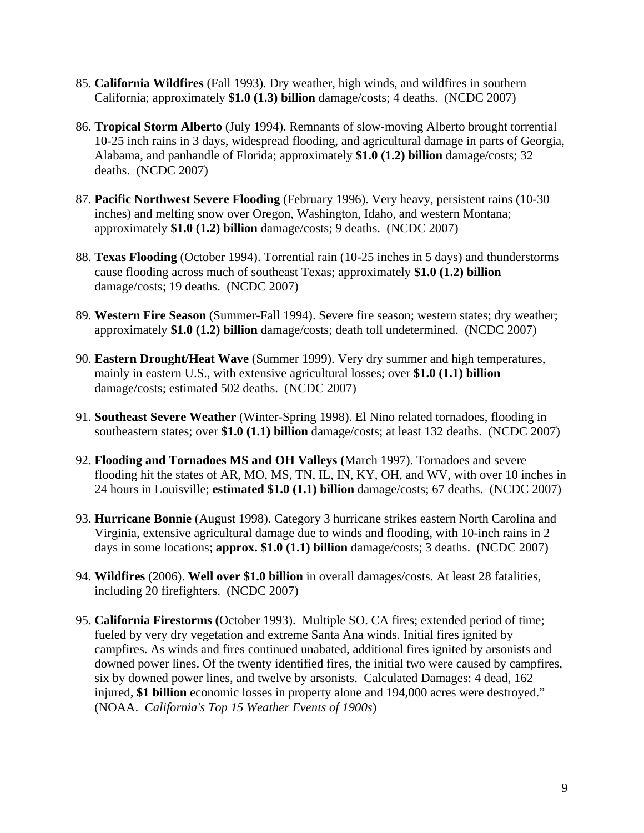- 85. **California Wildfires** (Fall 1993). Dry weather, high winds, and wildfires in southern California; approximately **\$1.0 (1.3) billion** damage/costs; 4 deaths. (NCDC 2007)
- 86. **Tropical Storm Alberto** (July 1994). Remnants of slow-moving Alberto brought torrential 10-25 inch rains in 3 days, widespread flooding, and agricultural damage in parts of Georgia, Alabama, and panhandle of Florida; approximately **\$1.0 (1.2) billion** damage/costs; 32 deaths. (NCDC 2007)
- 87. **Pacific Northwest Severe Flooding** (February 1996). Very heavy, persistent rains (10-30 inches) and melting snow over Oregon, Washington, Idaho, and western Montana; approximately **\$1.0 (1.2) billion** damage/costs; 9 deaths. (NCDC 2007)
- 88. **Texas Flooding** (October 1994). Torrential rain (10-25 inches in 5 days) and thunderstorms cause flooding across much of southeast Texas; approximately **\$1.0 (1.2) billion** damage/costs; 19 deaths. (NCDC 2007)
- 89. **Western Fire Season** (Summer-Fall 1994). Severe fire season; western states; dry weather; approximately **\$1.0 (1.2) billion** damage/costs; death toll undetermined. (NCDC 2007)
- 90. **Eastern Drought/Heat Wave** (Summer 1999). Very dry summer and high temperatures, mainly in eastern U.S., with extensive agricultural losses; over **\$1.0 (1.1) billion** damage/costs; estimated 502 deaths. (NCDC 2007)
- 91. **Southeast Severe Weather** (Winter-Spring 1998). El Nino related tornadoes, flooding in southeastern states; over **\$1.0 (1.1) billion** damage/costs; at least 132 deaths. (NCDC 2007)
- 92. **Flooding and Tornadoes MS and OH Valleys (**March 1997). Tornadoes and severe flooding hit the states of AR, MO, MS, TN, IL, IN, KY, OH, and WV, with over 10 inches in 24 hours in Louisville; **estimated \$1.0 (1.1) billion** damage/costs; 67 deaths. (NCDC 2007)
- 93. **Hurricane Bonnie** (August 1998). Category 3 hurricane strikes eastern North Carolina and Virginia, extensive agricultural damage due to winds and flooding, with 10-inch rains in 2 days in some locations; **approx. \$1.0 (1.1) billion** damage/costs; 3 deaths. (NCDC 2007)
- 94. **Wildfires** (2006). **Well over \$1.0 billion** in overall damages/costs. At least 28 fatalities, including 20 firefighters. (NCDC 2007)
- 95. **California Firestorms (**October 1993). Multiple SO. CA fires; extended period of time; fueled by very dry vegetation and extreme Santa Ana winds. Initial fires ignited by campfires. As winds and fires continued unabated, additional fires ignited by arsonists and downed power lines. Of the twenty identified fires, the initial two were caused by campfires, six by downed power lines, and twelve by arsonists. Calculated Damages: 4 dead, 162 injured, **\$1 billion** economic losses in property alone and 194,000 acres were destroyed." (NOAA. *California's Top 15 Weather Events of 1900s*)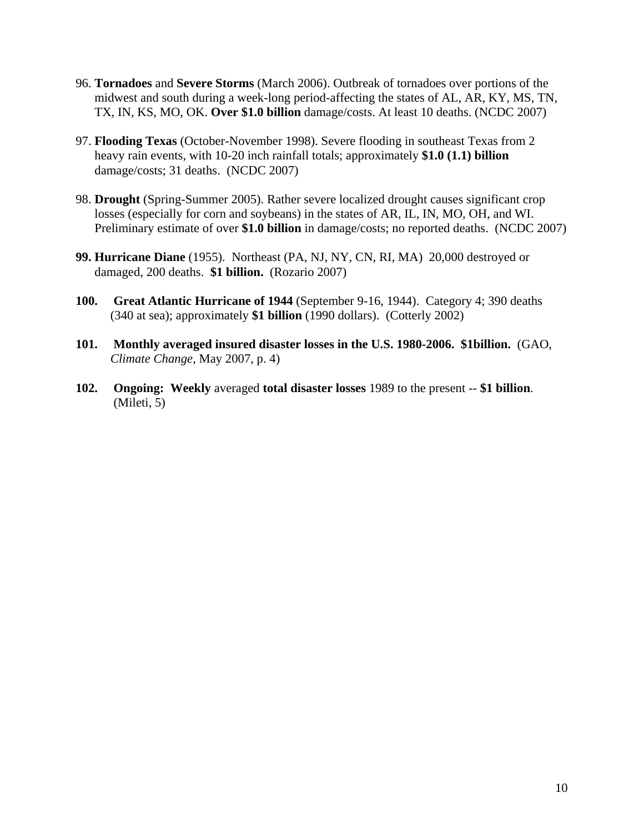- 96. **Tornadoes** and **Severe Storms** (March 2006). Outbreak of tornadoes over portions of the midwest and south during a week-long period-affecting the states of AL, AR, KY, MS, TN, TX, IN, KS, MO, OK. **Over \$1.0 billion** damage/costs. At least 10 deaths. (NCDC 2007)
- 97. **Flooding Texas** (October-November 1998). Severe flooding in southeast Texas from 2 heavy rain events, with 10-20 inch rainfall totals; approximately **\$1.0 (1.1) billion** damage/costs; 31 deaths. (NCDC 2007)
- 98. **Drought** (Spring-Summer 2005). Rather severe localized drought causes significant crop losses (especially for corn and soybeans) in the states of AR, IL, IN, MO, OH, and WI. Preliminary estimate of over **\$1.0 billion** in damage/costs; no reported deaths. (NCDC 2007)
- **99. Hurricane Diane** (1955). Northeast (PA, NJ, NY, CN, RI, MA) 20,000 destroyed or damaged, 200 deaths. **\$1 billion.** (Rozario 2007)
- **100. Great Atlantic Hurricane of 1944** (September 9-16, 1944). Category 4; 390 deaths (340 at sea); approximately **\$1 billion** (1990 dollars). (Cotterly 2002)
- **101. Monthly averaged insured disaster losses in the U.S. 1980-2006. \$1billion.** (GAO, *Climate Change*, May 2007, p. 4)
- **102. Ongoing: Weekly** averaged **total disaster losses** 1989 to the present -- **\$1 billion**. (Mileti, 5)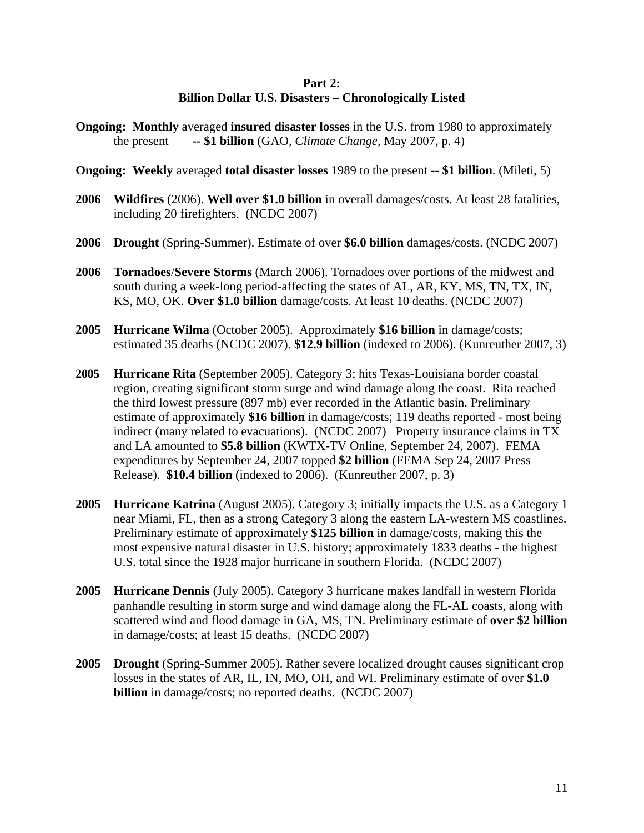## **Part 2: Billion Dollar U.S. Disasters – Chronologically Listed**

- **Ongoing: Monthly** averaged **insured disaster losses** in the U.S. from 1980 to approximately the present **-- \$1 billion** (GAO, *Climate Change,* May 2007, p. 4)
- **Ongoing: Weekly** averaged **total disaster losses** 1989 to the present -- **\$1 billion**. (Mileti, 5)
- **2006 Wildfires** (2006). **Well over \$1.0 billion** in overall damages/costs. At least 28 fatalities, including 20 firefighters. (NCDC 2007)
- **2006 Drought** (Spring-Summer). Estimate of over **\$6.0 billion** damages/costs. (NCDC 2007)
- **2006 Tornadoes**/**Severe Storms** (March 2006). Tornadoes over portions of the midwest and south during a week-long period-affecting the states of AL, AR, KY, MS, TN, TX, IN, KS, MO, OK. **Over \$1.0 billion** damage/costs. At least 10 deaths. (NCDC 2007)
- **2005 Hurricane Wilma** (October 2005). Approximately **\$16 billion** in damage/costs; estimated 35 deaths (NCDC 2007). **\$12.9 billion** (indexed to 2006). (Kunreuther 2007, 3)
- **2005 Hurricane Rita** (September 2005). Category 3; hits Texas-Louisiana border coastal region, creating significant storm surge and wind damage along the coast. Rita reached the third lowest pressure (897 mb) ever recorded in the Atlantic basin. Preliminary estimate of approximately **\$16 billion** in damage/costs; 119 deaths reported - most being indirect (many related to evacuations). (NCDC 2007) Property insurance claims in TX and LA amounted to **\$5.8 billion** (KWTX-TV Online, September 24, 2007). FEMA expenditures by September 24, 2007 topped **\$2 billion** (FEMA Sep 24, 2007 Press Release). **\$10.4 billion** (indexed to 2006). (Kunreuther 2007, p. 3)
- **2005 Hurricane Katrina** (August 2005). Category 3; initially impacts the U.S. as a Category 1 near Miami, FL, then as a strong Category 3 along the eastern LA-western MS coastlines. Preliminary estimate of approximately **\$125 billion** in damage/costs, making this the most expensive natural disaster in U.S. history; approximately 1833 deaths - the highest U.S. total since the 1928 major hurricane in southern Florida. (NCDC 2007)
- **2005 Hurricane Dennis** (July 2005). Category 3 hurricane makes landfall in western Florida panhandle resulting in storm surge and wind damage along the FL-AL coasts, along with scattered wind and flood damage in GA, MS, TN. Preliminary estimate of **over \$2 billion** in damage/costs; at least 15 deaths. (NCDC 2007)
- **2005 Drought** (Spring-Summer 2005). Rather severe localized drought causes significant crop losses in the states of AR, IL, IN, MO, OH, and WI. Preliminary estimate of over **\$1.0 billion** in damage/costs; no reported deaths. (NCDC 2007)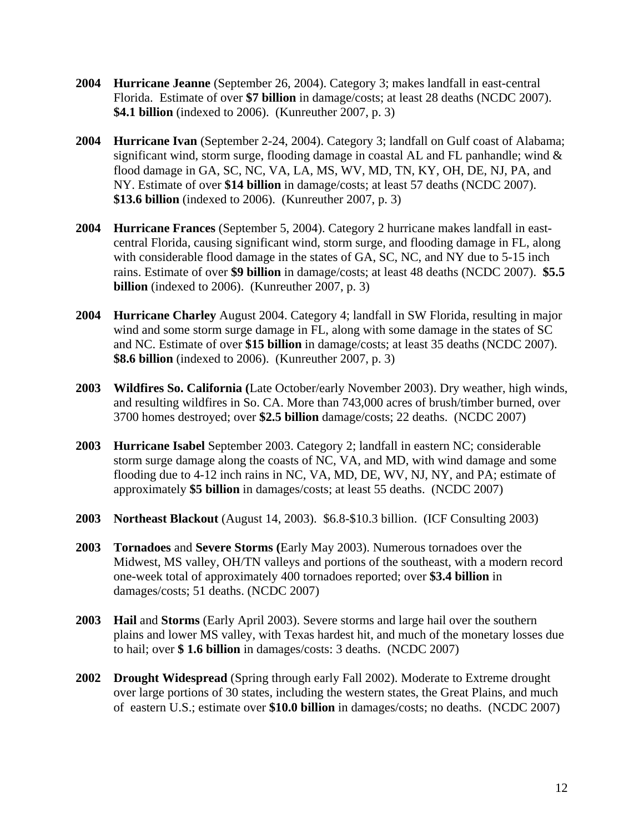- **2004 Hurricane Jeanne** (September 26, 2004). Category 3; makes landfall in east-central Florida. Estimate of over **\$7 billion** in damage/costs; at least 28 deaths (NCDC 2007). **\$4.1 billion** (indexed to 2006). (Kunreuther 2007, p. 3)
- **2004 Hurricane Ivan** (September 2-24, 2004). Category 3; landfall on Gulf coast of Alabama; significant wind, storm surge, flooding damage in coastal AL and FL panhandle; wind & flood damage in GA, SC, NC, VA, LA, MS, WV, MD, TN, KY, OH, DE, NJ, PA, and NY. Estimate of over **\$14 billion** in damage/costs; at least 57 deaths (NCDC 2007). **\$13.6 billion** (indexed to 2006). (Kunreuther 2007, p. 3)
- **2004 Hurricane Frances** (September 5, 2004). Category 2 hurricane makes landfall in eastcentral Florida, causing significant wind, storm surge, and flooding damage in FL, along with considerable flood damage in the states of GA, SC, NC, and NY due to 5-15 inch rains. Estimate of over **\$9 billion** in damage/costs; at least 48 deaths (NCDC 2007). **\$5.5 billion** (indexed to 2006). (Kunreuther 2007, p. 3)
- **2004 Hurricane Charley** August 2004. Category 4; landfall in SW Florida, resulting in major wind and some storm surge damage in FL, along with some damage in the states of SC and NC. Estimate of over **\$15 billion** in damage/costs; at least 35 deaths (NCDC 2007). **\$8.6 billion** (indexed to 2006). (Kunreuther 2007, p. 3)
- **2003 Wildfires So. California (**Late October/early November 2003). Dry weather, high winds, and resulting wildfires in So. CA. More than 743,000 acres of brush/timber burned, over 3700 homes destroyed; over **\$2.5 billion** damage/costs; 22 deaths. (NCDC 2007)
- **2003 Hurricane Isabel** September 2003. Category 2; landfall in eastern NC; considerable storm surge damage along the coasts of NC, VA, and MD, with wind damage and some flooding due to 4-12 inch rains in NC, VA, MD, DE, WV, NJ, NY, and PA; estimate of approximately **\$5 billion** in damages/costs; at least 55 deaths. (NCDC 2007)
- **2003 Northeast Blackout** (August 14, 2003). \$6.8-\$10.3 billion. (ICF Consulting 2003)
- **2003 Tornadoes** and **Severe Storms (**Early May 2003). Numerous tornadoes over the Midwest, MS valley, OH/TN valleys and portions of the southeast, with a modern record one-week total of approximately 400 tornadoes reported; over **\$3.4 billion** in damages/costs; 51 deaths. (NCDC 2007)
- **2003 Hail** and **Storms** (Early April 2003). Severe storms and large hail over the southern plains and lower MS valley, with Texas hardest hit, and much of the monetary losses due to hail; over **\$ 1.6 billion** in damages/costs: 3 deaths. (NCDC 2007)
- **2002 Drought Widespread** (Spring through early Fall 2002). Moderate to Extreme drought over large portions of 30 states, including the western states, the Great Plains, and much of eastern U.S.; estimate over **\$10.0 billion** in damages/costs; no deaths. (NCDC 2007)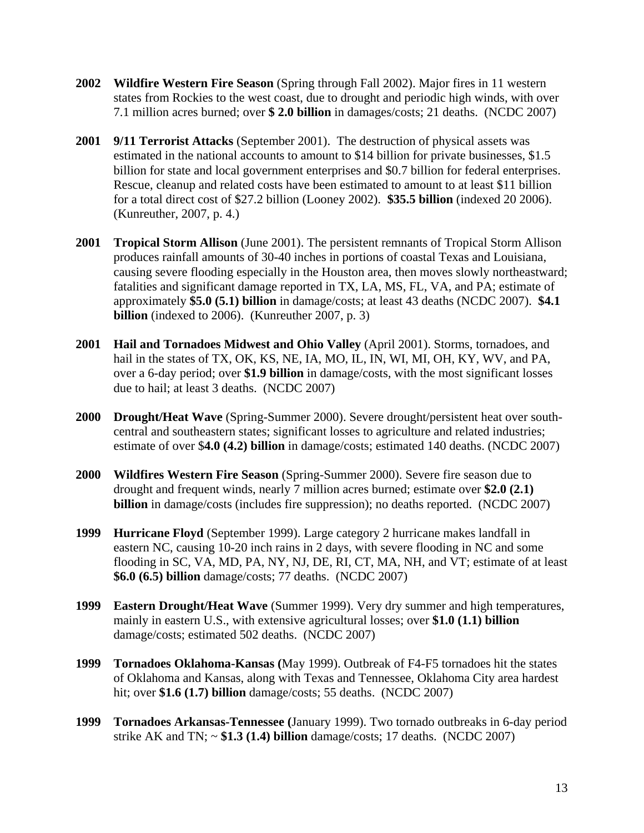- **2002 Wildfire Western Fire Season** (Spring through Fall 2002). Major fires in 11 western states from Rockies to the west coast, due to drought and periodic high winds, with over 7.1 million acres burned; over **\$ 2.0 billion** in damages/costs; 21 deaths. (NCDC 2007)
- **2001 9/11 Terrorist Attacks** (September 2001). The destruction of physical assets was estimated in the national accounts to amount to \$14 billion for private businesses, \$1.5 billion for state and local government enterprises and \$0.7 billion for federal enterprises. Rescue, cleanup and related costs have been estimated to amount to at least \$11 billion for a total direct cost of \$27.2 billion (Looney 2002). **\$35.5 billion** (indexed 20 2006). (Kunreuther, 2007, p. 4.)
- **2001 Tropical Storm Allison** (June 2001). The persistent remnants of Tropical Storm Allison produces rainfall amounts of 30-40 inches in portions of coastal Texas and Louisiana, causing severe flooding especially in the Houston area, then moves slowly northeastward; fatalities and significant damage reported in TX, LA, MS, FL, VA, and PA; estimate of approximately **\$5.0 (5.1) billion** in damage/costs; at least 43 deaths (NCDC 2007). **\$4.1 billion** (indexed to 2006). (Kunreuther 2007, p. 3)
- **2001 Hail and Tornadoes Midwest and Ohio Valley** (April 2001). Storms, tornadoes, and hail in the states of TX, OK, KS, NE, IA, MO, IL, IN, WI, MI, OH, KY, WV, and PA, over a 6-day period; over **\$1.9 billion** in damage/costs, with the most significant losses due to hail; at least 3 deaths. (NCDC 2007)
- **2000 Drought/Heat Wave** (Spring-Summer 2000). Severe drought/persistent heat over southcentral and southeastern states; significant losses to agriculture and related industries; estimate of over \$**4.0 (4.2) billion** in damage/costs; estimated 140 deaths. (NCDC 2007)
- **2000 Wildfires Western Fire Season** (Spring-Summer 2000). Severe fire season due to drought and frequent winds, nearly 7 million acres burned; estimate over **\$2.0 (2.1) billion** in damage/costs (includes fire suppression); no deaths reported. (NCDC 2007)
- **1999 Hurricane Floyd** (September 1999). Large category 2 hurricane makes landfall in eastern NC, causing 10-20 inch rains in 2 days, with severe flooding in NC and some flooding in SC, VA, MD, PA, NY, NJ, DE, RI, CT, MA, NH, and VT; estimate of at least **\$6.0 (6.5) billion** damage/costs; 77 deaths. (NCDC 2007)
- **1999 Eastern Drought/Heat Wave** (Summer 1999). Very dry summer and high temperatures, mainly in eastern U.S., with extensive agricultural losses; over **\$1.0 (1.1) billion** damage/costs; estimated 502 deaths. (NCDC 2007)
- **1999 Tornadoes Oklahoma-Kansas (**May 1999). Outbreak of F4-F5 tornadoes hit the states of Oklahoma and Kansas, along with Texas and Tennessee, Oklahoma City area hardest hit; over **\$1.6 (1.7) billion** damage/costs; 55 deaths. (NCDC 2007)
- **1999 Tornadoes Arkansas-Tennessee (**January 1999). Two tornado outbreaks in 6-day period strike AK and TN; ~ **\$1.3 (1.4) billion** damage/costs; 17 deaths. (NCDC 2007)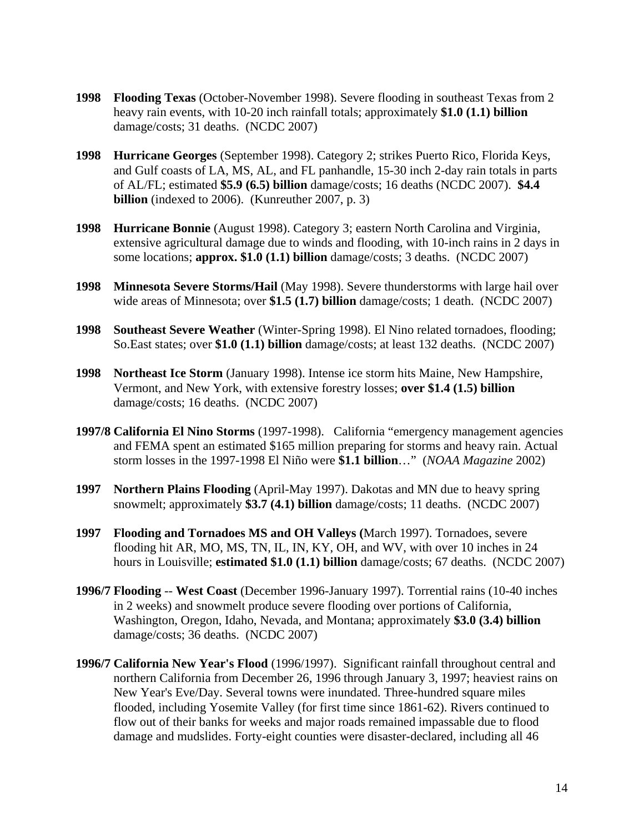- **1998 Flooding Texas** (October-November 1998). Severe flooding in southeast Texas from 2 heavy rain events, with 10-20 inch rainfall totals; approximately **\$1.0 (1.1) billion** damage/costs; 31 deaths. (NCDC 2007)
- **1998 Hurricane Georges** (September 1998). Category 2; strikes Puerto Rico, Florida Keys, and Gulf coasts of LA, MS, AL, and FL panhandle, 15-30 inch 2-day rain totals in parts of AL/FL; estimated **\$5.9 (6.5) billion** damage/costs; 16 deaths (NCDC 2007). **\$4.4 billion** (indexed to 2006). (Kunreuther 2007, p. 3)
- **1998 Hurricane Bonnie** (August 1998). Category 3; eastern North Carolina and Virginia, extensive agricultural damage due to winds and flooding, with 10-inch rains in 2 days in some locations; **approx. \$1.0 (1.1) billion** damage/costs; 3 deaths. (NCDC 2007)
- **1998 Minnesota Severe Storms/Hail** (May 1998). Severe thunderstorms with large hail over wide areas of Minnesota; over **\$1.5 (1.7) billion** damage/costs; 1 death. (NCDC 2007)
- **1998 Southeast Severe Weather** (Winter-Spring 1998). El Nino related tornadoes, flooding; So.East states; over **\$1.0 (1.1) billion** damage/costs; at least 132 deaths. (NCDC 2007)
- **1998 Northeast Ice Storm** (January 1998). Intense ice storm hits Maine, New Hampshire, Vermont, and New York, with extensive forestry losses; **over \$1.4 (1.5) billion** damage/costs; 16 deaths. (NCDC 2007)
- **1997/8 California El Nino Storms** (1997-1998). California "emergency management agencies and FEMA spent an estimated \$165 million preparing for storms and heavy rain. Actual storm losses in the 1997-1998 El Niño were **\$1.1 billion**…" (*NOAA Magazine* 2002)
- **1997 Northern Plains Flooding** (April-May 1997). Dakotas and MN due to heavy spring snowmelt; approximately **\$3.7 (4.1) billion** damage/costs; 11 deaths. (NCDC 2007)
- **1997 Flooding and Tornadoes MS and OH Valleys (**March 1997). Tornadoes, severe flooding hit AR, MO, MS, TN, IL, IN, KY, OH, and WV, with over 10 inches in 24 hours in Louisville; **estimated \$1.0 (1.1) billion** damage/costs; 67 deaths. (NCDC 2007)
- **1996/7 Flooding** -- **West Coast** (December 1996-January 1997). Torrential rains (10-40 inches in 2 weeks) and snowmelt produce severe flooding over portions of California, Washington, Oregon, Idaho, Nevada, and Montana; approximately **\$3.0 (3.4) billion** damage/costs; 36 deaths. (NCDC 2007)
- **1996/7 California New Year's Flood** (1996/1997). Significant rainfall throughout central and northern California from December 26, 1996 through January 3, 1997; heaviest rains on New Year's Eve/Day. Several towns were inundated. Three-hundred square miles flooded, including Yosemite Valley (for first time since 1861-62). Rivers continued to flow out of their banks for weeks and major roads remained impassable due to flood damage and mudslides. Forty-eight counties were disaster-declared, including all 46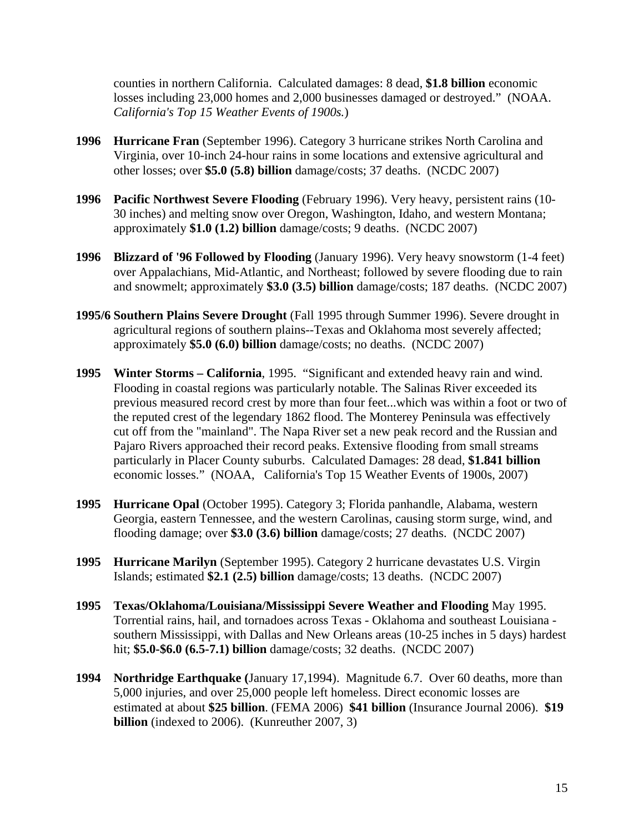counties in northern California. Calculated damages: 8 dead, **\$1.8 billion** economic losses including 23,000 homes and 2,000 businesses damaged or destroyed." (NOAA. *California's Top 15 Weather Events of 1900s.*)

- **1996 Hurricane Fran** (September 1996). Category 3 hurricane strikes North Carolina and Virginia, over 10-inch 24-hour rains in some locations and extensive agricultural and other losses; over **\$5.0 (5.8) billion** damage/costs; 37 deaths. (NCDC 2007)
- **1996 Pacific Northwest Severe Flooding** (February 1996). Very heavy, persistent rains (10- 30 inches) and melting snow over Oregon, Washington, Idaho, and western Montana; approximately **\$1.0 (1.2) billion** damage/costs; 9 deaths. (NCDC 2007)
- **1996 Blizzard of '96 Followed by Flooding** (January 1996). Very heavy snowstorm (1-4 feet) over Appalachians, Mid-Atlantic, and Northeast; followed by severe flooding due to rain and snowmelt; approximately **\$3.0 (3.5) billion** damage/costs; 187 deaths. (NCDC 2007)
- **1995/6 Southern Plains Severe Drought** (Fall 1995 through Summer 1996). Severe drought in agricultural regions of southern plains--Texas and Oklahoma most severely affected; approximately **\$5.0 (6.0) billion** damage/costs; no deaths. (NCDC 2007)
- **1995 Winter Storms California**, 1995. "Significant and extended heavy rain and wind. Flooding in coastal regions was particularly notable. The Salinas River exceeded its previous measured record crest by more than four feet...which was within a foot or two of the reputed crest of the legendary 1862 flood. The Monterey Peninsula was effectively cut off from the "mainland". The Napa River set a new peak record and the Russian and Pajaro Rivers approached their record peaks. Extensive flooding from small streams particularly in Placer County suburbs. Calculated Damages: 28 dead, **\$1.841 billion** economic losses." (NOAA, California's Top 15 Weather Events of 1900s, 2007)
- **1995 Hurricane Opal** (October 1995). Category 3; Florida panhandle, Alabama, western Georgia, eastern Tennessee, and the western Carolinas, causing storm surge, wind, and flooding damage; over **\$3.0 (3.6) billion** damage/costs; 27 deaths. (NCDC 2007)
- **1995 Hurricane Marilyn** (September 1995). Category 2 hurricane devastates U.S. Virgin Islands; estimated **\$2.1 (2.5) billion** damage/costs; 13 deaths. (NCDC 2007)
- **1995 Texas/Oklahoma/Louisiana/Mississippi Severe Weather and Flooding** May 1995. Torrential rains, hail, and tornadoes across Texas - Oklahoma and southeast Louisiana southern Mississippi, with Dallas and New Orleans areas (10-25 inches in 5 days) hardest hit; **\$5.0-\$6.0 (6.5-7.1) billion** damage/costs; 32 deaths. (NCDC 2007)
- **1994 Northridge Earthquake (**January 17,1994). Magnitude 6.7. Over 60 deaths, more than 5,000 injuries, and over 25,000 people left homeless. Direct economic losses are estimated at about **\$25 billion**. (FEMA 2006) **\$41 billion** (Insurance Journal 2006). **\$19 billion** (indexed to 2006). (Kunreuther 2007, 3)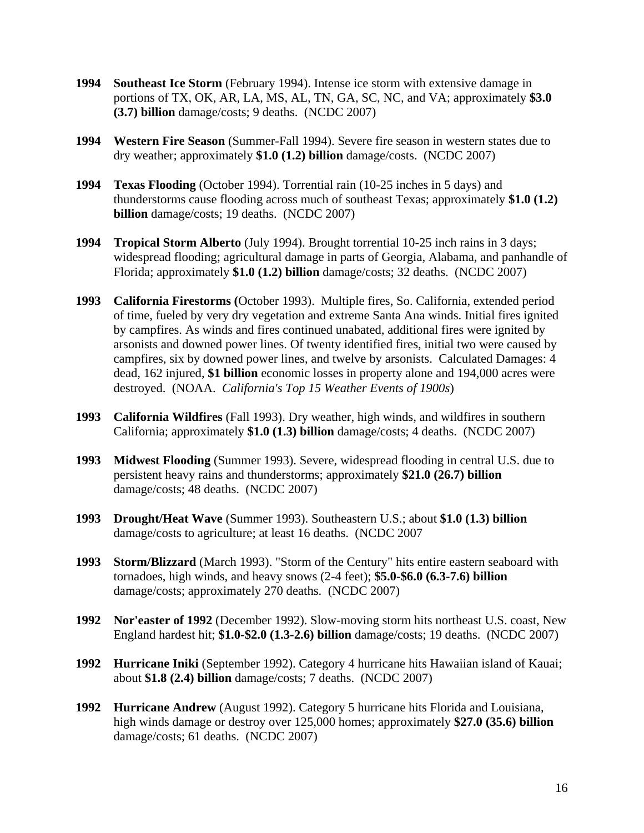- **1994 Southeast Ice Storm** (February 1994). Intense ice storm with extensive damage in portions of TX, OK, AR, LA, MS, AL, TN, GA, SC, NC, and VA; approximately **\$3.0 (3.7) billion** damage/costs; 9 deaths. (NCDC 2007)
- **1994 Western Fire Season** (Summer-Fall 1994). Severe fire season in western states due to dry weather; approximately **\$1.0 (1.2) billion** damage/costs. (NCDC 2007)
- **1994 Texas Flooding** (October 1994). Torrential rain (10-25 inches in 5 days) and thunderstorms cause flooding across much of southeast Texas; approximately **\$1.0 (1.2) billion** damage/costs; 19 deaths. (NCDC 2007)
- **1994 Tropical Storm Alberto** (July 1994). Brought torrential 10-25 inch rains in 3 days; widespread flooding; agricultural damage in parts of Georgia, Alabama, and panhandle of Florida; approximately **\$1.0 (1.2) billion** damage/costs; 32 deaths. (NCDC 2007)
- **1993 California Firestorms (**October 1993). Multiple fires, So. California, extended period of time, fueled by very dry vegetation and extreme Santa Ana winds. Initial fires ignited by campfires. As winds and fires continued unabated, additional fires were ignited by arsonists and downed power lines. Of twenty identified fires, initial two were caused by campfires, six by downed power lines, and twelve by arsonists. Calculated Damages: 4 dead, 162 injured, **\$1 billion** economic losses in property alone and 194,000 acres were destroyed. (NOAA. *California's Top 15 Weather Events of 1900s*)
- **1993 California Wildfires** (Fall 1993). Dry weather, high winds, and wildfires in southern California; approximately **\$1.0 (1.3) billion** damage/costs; 4 deaths. (NCDC 2007)
- **1993 Midwest Flooding** (Summer 1993). Severe, widespread flooding in central U.S. due to persistent heavy rains and thunderstorms; approximately **\$21.0 (26.7) billion** damage/costs; 48 deaths. (NCDC 2007)
- **1993 Drought/Heat Wave** (Summer 1993). Southeastern U.S.; about **\$1.0 (1.3) billion** damage/costs to agriculture; at least 16 deaths. (NCDC 2007
- **1993 Storm/Blizzard** (March 1993). "Storm of the Century" hits entire eastern seaboard with tornadoes, high winds, and heavy snows (2-4 feet); **\$5.0-\$6.0 (6.3-7.6) billion** damage/costs; approximately 270 deaths. (NCDC 2007)
- **1992 Nor'easter of 1992** (December 1992). Slow-moving storm hits northeast U.S. coast, New England hardest hit; **\$1.0-\$2.0 (1.3-2.6) billion** damage/costs; 19 deaths. (NCDC 2007)
- **1992 Hurricane Iniki** (September 1992). Category 4 hurricane hits Hawaiian island of Kauai; about **\$1.8 (2.4) billion** damage/costs; 7 deaths. (NCDC 2007)
- **1992 Hurricane Andrew** (August 1992). Category 5 hurricane hits Florida and Louisiana, high winds damage or destroy over 125,000 homes; approximately **\$27.0 (35.6) billion** damage/costs; 61 deaths. (NCDC 2007)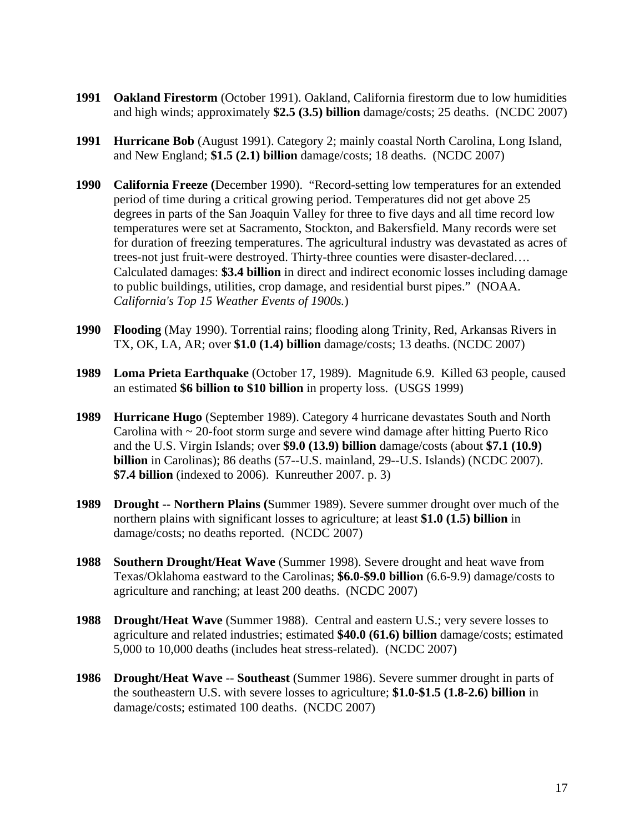- **1991 Oakland Firestorm** (October 1991). Oakland, California firestorm due to low humidities and high winds; approximately **\$2.5 (3.5) billion** damage/costs; 25 deaths. (NCDC 2007)
- **1991 Hurricane Bob** (August 1991). Category 2; mainly coastal North Carolina, Long Island, and New England; **\$1.5 (2.1) billion** damage/costs; 18 deaths. (NCDC 2007)
- **1990 California Freeze (**December 1990). "Record-setting low temperatures for an extended period of time during a critical growing period. Temperatures did not get above 25 degrees in parts of the San Joaquin Valley for three to five days and all time record low temperatures were set at Sacramento, Stockton, and Bakersfield. Many records were set for duration of freezing temperatures. The agricultural industry was devastated as acres of trees-not just fruit-were destroyed. Thirty-three counties were disaster-declared…. Calculated damages: **\$3.4 billion** in direct and indirect economic losses including damage to public buildings, utilities, crop damage, and residential burst pipes." (NOAA. *California's Top 15 Weather Events of 1900s.*)
- **1990 Flooding** (May 1990). Torrential rains; flooding along Trinity, Red, Arkansas Rivers in TX, OK, LA, AR; over **\$1.0 (1.4) billion** damage/costs; 13 deaths. (NCDC 2007)
- **1989 Loma Prieta Earthquake** (October 17, 1989). Magnitude 6.9. Killed 63 people, caused an estimated **\$6 billion to \$10 billion** in property loss. (USGS 1999)
- **1989 Hurricane Hugo** (September 1989). Category 4 hurricane devastates South and North Carolina with  $\sim$  20-foot storm surge and severe wind damage after hitting Puerto Rico and the U.S. Virgin Islands; over **\$9.0 (13.9) billion** damage/costs (about **\$7.1 (10.9) billion** in Carolinas); 86 deaths (57--U.S. mainland, 29--U.S. Islands) (NCDC 2007). **\$7.4 billion** (indexed to 2006). Kunreuther 2007. p. 3)
- **1989 Drought -- Northern Plains (**Summer 1989). Severe summer drought over much of the northern plains with significant losses to agriculture; at least **\$1.0 (1.5) billion** in damage/costs; no deaths reported. (NCDC 2007)
- **1988 Southern Drought/Heat Wave** (Summer 1998). Severe drought and heat wave from Texas/Oklahoma eastward to the Carolinas; **\$6.0-\$9.0 billion** (6.6-9.9) damage/costs to agriculture and ranching; at least 200 deaths. (NCDC 2007)
- **1988 Drought/Heat Wave** (Summer 1988). Central and eastern U.S.; very severe losses to agriculture and related industries; estimated **\$40.0 (61.6) billion** damage/costs; estimated 5,000 to 10,000 deaths (includes heat stress-related). (NCDC 2007)
- **1986 Drought/Heat Wave** -- **Southeast** (Summer 1986). Severe summer drought in parts of the southeastern U.S. with severe losses to agriculture; **\$1.0-\$1.5 (1.8-2.6) billion** in damage/costs; estimated 100 deaths. (NCDC 2007)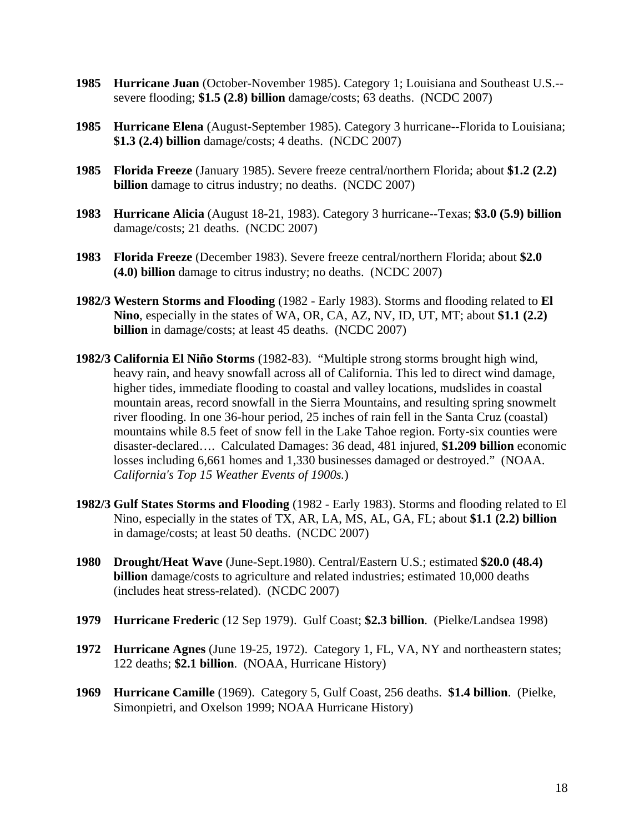- **1985 Hurricane Juan** (October-November 1985). Category 1; Louisiana and Southeast U.S.- severe flooding; **\$1.5 (2.8) billion** damage/costs; 63 deaths. (NCDC 2007)
- **1985 Hurricane Elena** (August-September 1985). Category 3 hurricane--Florida to Louisiana; **\$1.3 (2.4) billion** damage/costs; 4 deaths. (NCDC 2007)
- **1985 Florida Freeze** (January 1985). Severe freeze central/northern Florida; about **\$1.2 (2.2) billion** damage to citrus industry; no deaths. (NCDC 2007)
- **1983 Hurricane Alicia** (August 18-21, 1983). Category 3 hurricane--Texas; **\$3.0 (5.9) billion**  damage/costs; 21 deaths. (NCDC 2007)
- **1983 Florida Freeze** (December 1983). Severe freeze central/northern Florida; about **\$2.0 (4.0) billion** damage to citrus industry; no deaths. (NCDC 2007)
- **1982/3 Western Storms and Flooding** (1982 Early 1983). Storms and flooding related to **El Nino**, especially in the states of WA, OR, CA, AZ, NV, ID, UT, MT; about **\$1.1 (2.2) billion** in damage/costs; at least 45 deaths. (NCDC 2007)
- **1982/3 California El Niño Storms** (1982-83). "Multiple strong storms brought high wind, heavy rain, and heavy snowfall across all of California. This led to direct wind damage, higher tides, immediate flooding to coastal and valley locations, mudslides in coastal mountain areas, record snowfall in the Sierra Mountains, and resulting spring snowmelt river flooding. In one 36-hour period, 25 inches of rain fell in the Santa Cruz (coastal) mountains while 8.5 feet of snow fell in the Lake Tahoe region. Forty-six counties were disaster-declared…. Calculated Damages: 36 dead, 481 injured, **\$1.209 billion** economic losses including 6,661 homes and 1,330 businesses damaged or destroyed." (NOAA. *California's Top 15 Weather Events of 1900s.*)
- **1982/3 Gulf States Storms and Flooding** (1982 Early 1983). Storms and flooding related to El Nino, especially in the states of TX, AR, LA, MS, AL, GA, FL; about **\$1.1 (2.2) billion** in damage/costs; at least 50 deaths. (NCDC 2007)
- **1980 Drought/Heat Wave** (June-Sept.1980). Central/Eastern U.S.; estimated **\$20.0 (48.4) billion** damage/costs to agriculture and related industries; estimated 10,000 deaths (includes heat stress-related). (NCDC 2007)
- **1979 Hurricane Frederic** (12 Sep 1979). Gulf Coast; **\$2.3 billion**. (Pielke/Landsea 1998)
- **1972 Hurricane Agnes** (June 19-25, 1972). Category 1, FL, VA, NY and northeastern states; 122 deaths; **\$2.1 billion**. (NOAA, Hurricane History)
- **1969 Hurricane Camille** (1969). Category 5, Gulf Coast, 256 deaths. **\$1.4 billion**. (Pielke, Simonpietri, and Oxelson 1999; NOAA Hurricane History)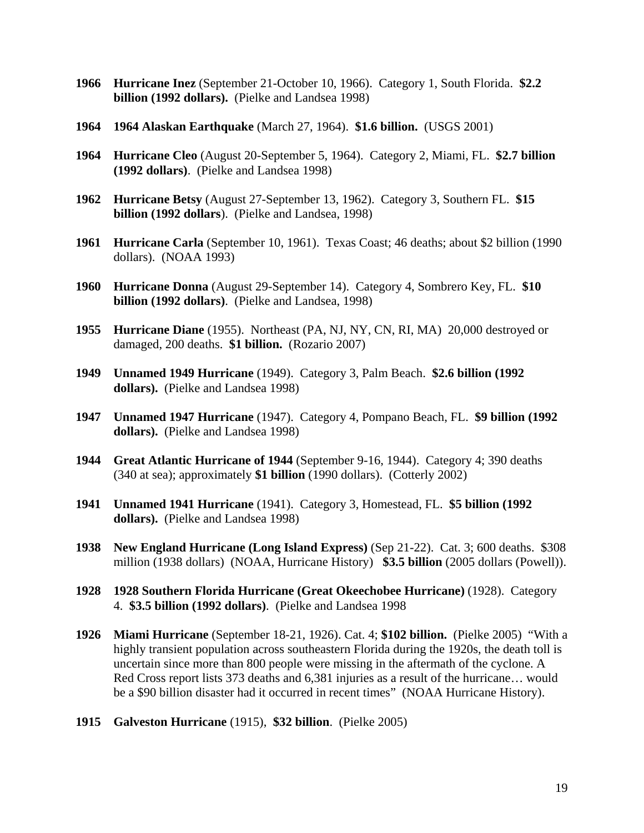- **1966 Hurricane Inez** (September 21-October 10, 1966). Category 1, South Florida. **\$2.2 billion (1992 dollars).** (Pielke and Landsea 1998)
- **1964 1964 Alaskan Earthquake** (March 27, 1964). **\$1.6 billion.** (USGS 2001)
- **1964 Hurricane Cleo** (August 20-September 5, 1964). Category 2, Miami, FL. **\$2.7 billion (1992 dollars)**. (Pielke and Landsea 1998)
- **1962 Hurricane Betsy** (August 27-September 13, 1962). Category 3, Southern FL. **\$15 billion (1992 dollars**). (Pielke and Landsea, 1998)
- **1961 Hurricane Carla** (September 10, 1961). Texas Coast; 46 deaths; about \$2 billion (1990 dollars). (NOAA 1993)
- **1960 Hurricane Donna** (August 29-September 14). Category 4, Sombrero Key, FL. **\$10 billion (1992 dollars)**. (Pielke and Landsea, 1998)
- **1955 Hurricane Diane** (1955). Northeast (PA, NJ, NY, CN, RI, MA) 20,000 destroyed or damaged, 200 deaths. **\$1 billion.** (Rozario 2007)
- **1949 Unnamed 1949 Hurricane** (1949). Category 3, Palm Beach. **\$2.6 billion (1992 dollars).** (Pielke and Landsea 1998)
- **1947 Unnamed 1947 Hurricane** (1947). Category 4, Pompano Beach, FL. **\$9 billion (1992 dollars).** (Pielke and Landsea 1998)
- **1944 Great Atlantic Hurricane of 1944** (September 9-16, 1944). Category 4; 390 deaths (340 at sea); approximately **\$1 billion** (1990 dollars). (Cotterly 2002)
- **1941 Unnamed 1941 Hurricane** (1941). Category 3, Homestead, FL. **\$5 billion (1992 dollars).** (Pielke and Landsea 1998)
- **1938 New England Hurricane (Long Island Express)** (Sep 21-22). Cat. 3; 600 deaths. \$308 million (1938 dollars) (NOAA, Hurricane History) **\$3.5 billion** (2005 dollars (Powell)).
- **1928 1928 Southern Florida Hurricane (Great Okeechobee Hurricane)** (1928). Category 4. **\$3.5 billion (1992 dollars)**. (Pielke and Landsea 1998
- **1926 Miami Hurricane** (September 18-21, 1926). Cat. 4; **\$102 billion.** (Pielke 2005) "With a highly transient population across southeastern Florida during the 1920s, the death toll is uncertain since more than 800 people were missing in the aftermath of the cyclone. A Red Cross report lists 373 deaths and 6,381 injuries as a result of the hurricane… would be a \$90 billion disaster had it occurred in recent times" (NOAA Hurricane History).
- **1915 Galveston Hurricane** (1915), **\$32 billion**. (Pielke 2005)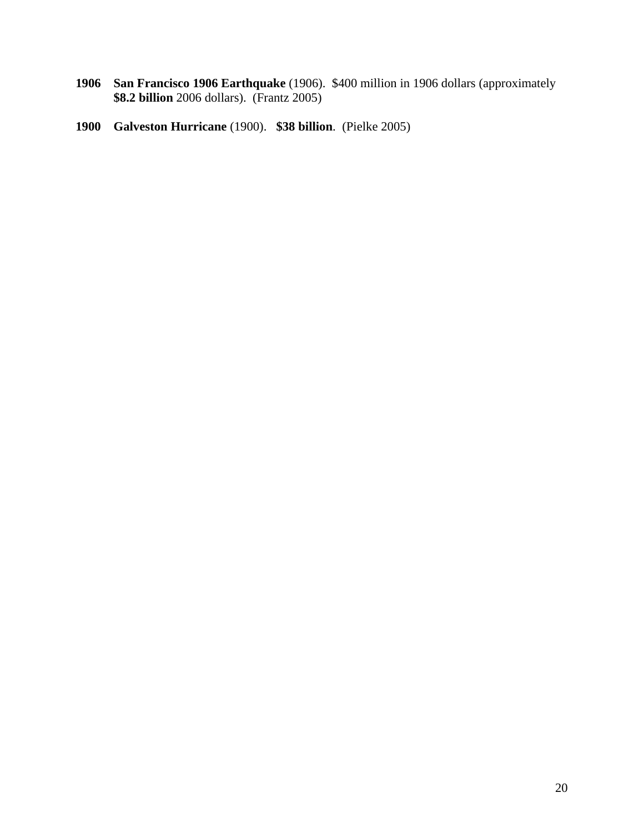- **1906 San Francisco 1906 Earthquake** (1906). \$400 million in 1906 dollars (approximately **\$8.2 billion** 2006 dollars). (Frantz 2005)
- **1900 Galveston Hurricane** (1900). **\$38 billion**. (Pielke 2005)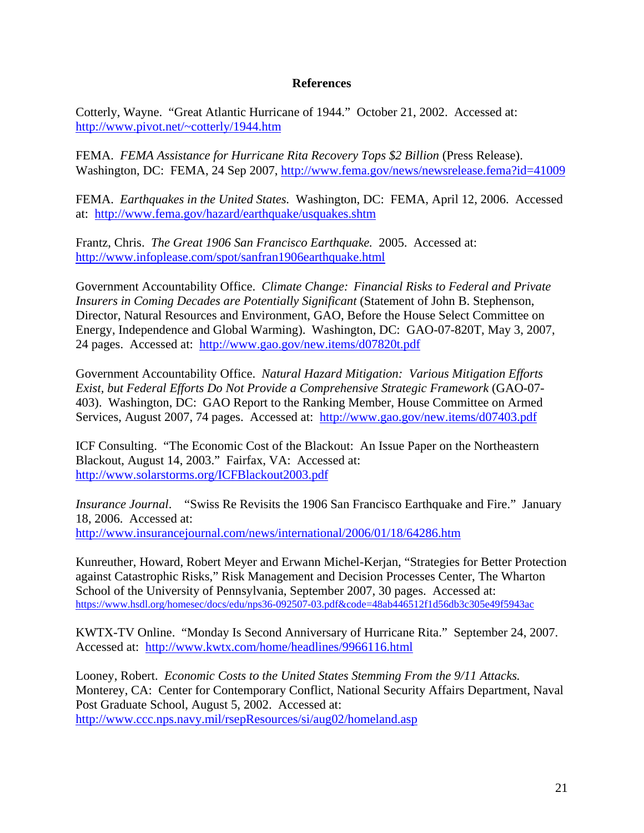## **References**

Cotterly, Wayne. "Great Atlantic Hurricane of 1944." October 21, 2002. Accessed at: http://www.pivot.net/~cotterly/1944.htm

FEMA. *FEMA Assistance for Hurricane Rita Recovery Tops \$2 Billion* (Press Release). Washington, DC: FEMA, 24 Sep 2007, http://www.fema.gov/news/newsrelease.fema?id=41009

FEMA. *Earthquakes in the United States.* Washington, DC: FEMA, April 12, 2006. Accessed at: http://www.fema.gov/hazard/earthquake/usquakes.shtm

Frantz, Chris. *The Great 1906 San Francisco Earthquake.* 2005. Accessed at: http://www.infoplease.com/spot/sanfran1906earthquake.html

Government Accountability Office. *Climate Change: Financial Risks to Federal and Private Insurers in Coming Decades are Potentially Significant* (Statement of John B. Stephenson, Director, Natural Resources and Environment, GAO, Before the House Select Committee on Energy, Independence and Global Warming). Washington, DC: GAO-07-820T, May 3, 2007, 24 pages. Accessed at: http://www.gao.gov/new.items/d07820t.pdf

Government Accountability Office. *Natural Hazard Mitigation: Various Mitigation Efforts Exist, but Federal Efforts Do Not Provide a Comprehensive Strategic Framework* (GAO-07- 403). Washington, DC: GAO Report to the Ranking Member, House Committee on Armed Services, August 2007, 74 pages. Accessed at: http://www.gao.gov/new.items/d07403.pdf

ICF Consulting. "The Economic Cost of the Blackout: An Issue Paper on the Northeastern Blackout, August 14, 2003." Fairfax, VA: Accessed at: http://www.solarstorms.org/ICFBlackout2003.pdf

*Insurance Journal*. "Swiss Re Revisits the 1906 San Francisco Earthquake and Fire." January 18, 2006. Accessed at: http://www.insurancejournal.com/news/international/2006/01/18/64286.htm

Kunreuther, Howard, Robert Meyer and Erwann Michel-Kerjan, "Strategies for Better Protection against Catastrophic Risks," Risk Management and Decision Processes Center, The Wharton School of the University of Pennsylvania, September 2007, 30 pages. Accessed at: https://www.hsdl.org/homesec/docs/edu/nps36-092507-03.pdf&code=48ab446512f1d56db3c305e49f5943ac

KWTX-TV Online. "Monday Is Second Anniversary of Hurricane Rita." September 24, 2007. Accessed at: http://www.kwtx.com/home/headlines/9966116.html

Looney, Robert. *Economic Costs to the United States Stemming From the 9/11 Attacks.*  Monterey, CA: Center for Contemporary Conflict, National Security Affairs Department, Naval Post Graduate School, August 5, 2002. Accessed at: http://www.ccc.nps.navy.mil/rsepResources/si/aug02/homeland.asp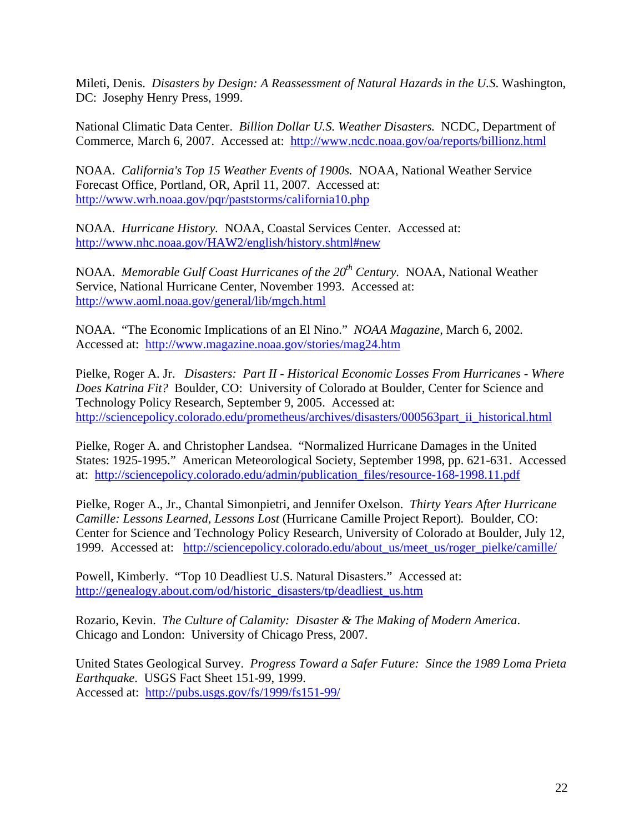Mileti, Denis. *Disasters by Design: A Reassessment of Natural Hazards in the U.S*. Washington, DC: Josephy Henry Press, 1999.

National Climatic Data Center. *Billion Dollar U.S. Weather Disasters.* NCDC, Department of Commerce, March 6, 2007. Accessed at: http://www.ncdc.noaa.gov/oa/reports/billionz.html

NOAA. *California's Top 15 Weather Events of 1900s.* NOAA, National Weather Service Forecast Office, Portland, OR, April 11, 2007. Accessed at: http://www.wrh.noaa.gov/pqr/paststorms/california10.php

NOAA. *Hurricane History.* NOAA, Coastal Services Center. Accessed at: http://www.nhc.noaa.gov/HAW2/english/history.shtml#new

NOAA. *Memorable Gulf Coast Hurricanes of the 20<sup>th</sup> Century.* NOAA, National Weather Service, National Hurricane Center, November 1993. Accessed at: http://www.aoml.noaa.gov/general/lib/mgch.html

NOAA. "The Economic Implications of an El Nino." *NOAA Magazine,* March 6, 2002*.*  Accessed at: http://www.magazine.noaa.gov/stories/mag24.htm

Pielke, Roger A. Jr. *Disasters: Part II - Historical Economic Losses From Hurricanes - Where Does Katrina Fit?* Boulder, CO: University of Colorado at Boulder, Center for Science and Technology Policy Research, September 9, 2005. Accessed at: http://sciencepolicy.colorado.edu/prometheus/archives/disasters/000563part\_ii\_historical.html

Pielke, Roger A. and Christopher Landsea. "Normalized Hurricane Damages in the United States: 1925-1995." American Meteorological Society, September 1998, pp. 621-631. Accessed at: http://sciencepolicy.colorado.edu/admin/publication\_files/resource-168-1998.11.pdf

Pielke, Roger A., Jr., Chantal Simonpietri, and Jennifer Oxelson. *Thirty Years After Hurricane Camille: Lessons Learned, Lessons Lost* (Hurricane Camille Project Report)*.* Boulder, CO: Center for Science and Technology Policy Research, University of Colorado at Boulder, July 12, 1999. Accessed at: http://sciencepolicy.colorado.edu/about\_us/meet\_us/roger\_pielke/camille/

Powell, Kimberly. "Top 10 Deadliest U.S. Natural Disasters." Accessed at: http://genealogy.about.com/od/historic\_disasters/tp/deadliest\_us.htm

Rozario, Kevin. *The Culture of Calamity: Disaster & The Making of Modern America*. Chicago and London: University of Chicago Press, 2007.

United States Geological Survey. *Progress Toward a Safer Future: Since the 1989 Loma Prieta Earthquake*. USGS Fact Sheet 151-99, 1999. Accessed at: http://pubs.usgs.gov/fs/1999/fs151-99/